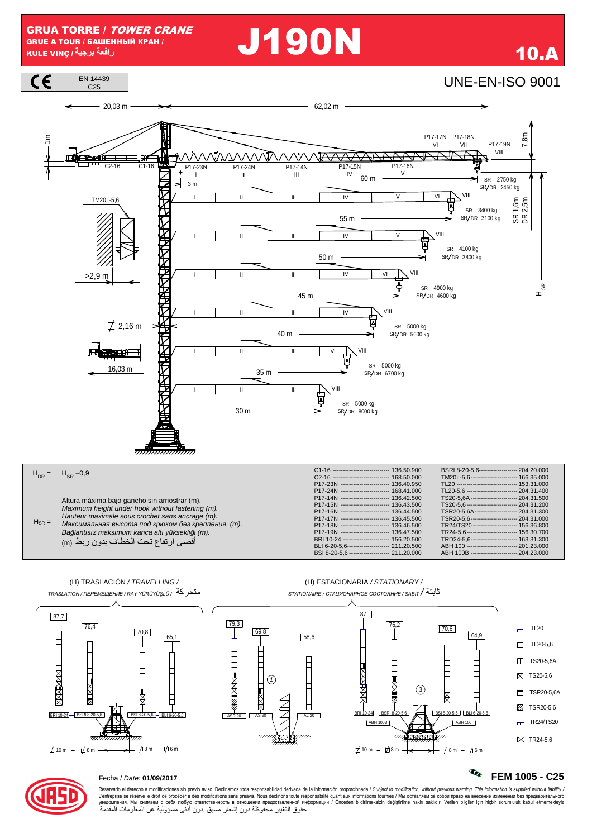# **J190N**





### R FEM 1005 - C25



## Fecha / Date: 01/09/2017

Reservado el derecho a modificaciones sin previo aviso. Declinamos toda responsabilidad derivada de la información proporcionada / Subject to modification, without previous warning. This information is supplied without li حقوق التغيير مُحفوظة دون إشعار مسبق دون أدنى مسؤولية عن المعلومات المقدمة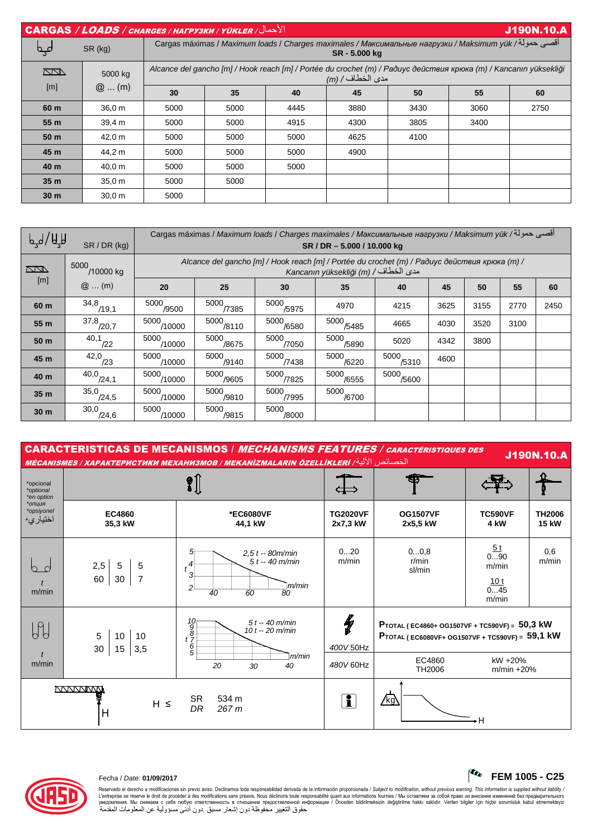| الأحمال/ CARGAS / LOADS / CHARGES / HAFPY3KW / YÜKLER<br><b>J190N.10.A</b> |                    |                                                                                                                                             |      |      |      |      |      |      |  |  |
|----------------------------------------------------------------------------|--------------------|---------------------------------------------------------------------------------------------------------------------------------------------|------|------|------|------|------|------|--|--|
| مہم                                                                        | SR (kg)            | اقصبي حمولة/ Cargas máximas / Maximum loads / Charges maximales / Максимальные нагрузки / Maksimum yük<br>SR - 5.000 kg                     |      |      |      |      |      |      |  |  |
| $\Box$                                                                     | 5000 kg<br>$@$ (m) | Alcance del gancho [m] / Hook reach [m] / Portée du crochet (m) / Радиус действия крюка (m) / Kancanın yüksekliği<br>مدى الخطاف/ <i>(m)</i> |      |      |      |      |      |      |  |  |
| [m]                                                                        |                    | 30                                                                                                                                          | 35   | 40   | 45   | 50   | 55   | 60   |  |  |
| 60 m                                                                       | 36.0 m             | 5000                                                                                                                                        | 5000 | 4445 | 3880 | 3430 | 3060 | 2750 |  |  |
| 55 m                                                                       | 39,4 m             | 5000                                                                                                                                        | 5000 | 4915 | 4300 | 3805 | 3400 |      |  |  |
| 50 m                                                                       | 42,0 m             | 5000                                                                                                                                        | 5000 | 5000 | 4625 | 4100 |      |      |  |  |
| 45 m                                                                       | 44,2 m             | 5000                                                                                                                                        | 5000 | 5000 | 4900 |      |      |      |  |  |
| 40 m                                                                       | 40,0 m             | 5000                                                                                                                                        | 5000 | 5000 |      |      |      |      |  |  |
| 35 <sub>m</sub>                                                            | 35.0 m             | 5000                                                                                                                                        | 5000 |      |      |      |      |      |  |  |
| 30 <sub>m</sub>                                                            | 30.0 m             | 5000                                                                                                                                        |      |      |      |      |      |      |  |  |

| لهها / للها<br>SR / DR (kg) |                           | أقصى حمولة/ Cargas máximas / Maximum loads / Charges maximales / Максимальные нагрузки / Maksimum yük<br>SR / DR - 5.000 / 10.000 kg   |               |               |               |               |      |      |      |      |
|-----------------------------|---------------------------|----------------------------------------------------------------------------------------------------------------------------------------|---------------|---------------|---------------|---------------|------|------|------|------|
| $\Box\Box$                  | 5000<br>/10000 kg         | Alcance del gancho [m] / Hook reach [m] / Portée du crochet (m) / Paduyc deŭcmeus kploka (m) /<br>Kancanın yüksekliği (m) / مدى الخطاف |               |               |               |               |      |      |      |      |
| [m]                         | $@$ (m)                   | 20                                                                                                                                     | 25            | 30            | 35            | 40            | 45   | 50   | 55   | 60   |
| 60 m                        | $34,8$ <sub>/19,1</sub>   | 5000<br>/9500                                                                                                                          | 5000<br>/7385 | 5000<br>/5975 | 4970          | 4215          | 3625 | 3155 | 2770 | 2450 |
| 55 m                        | $37,8$ <sub>(20,7</sub> ) | 5000<br>/10000                                                                                                                         | 5000<br>/8110 | 5000<br>/6580 | 5000<br>/5485 | 4665          | 4030 | 3520 | 3100 |      |
| 50 m                        | $40,1$ <sub>/22</sub>     | 5000<br>/10000                                                                                                                         | 5000<br>/8675 | 5000<br>/7050 | 5000<br>/5890 | 5020          | 4342 | 3800 |      |      |
| 45 m                        | $42,0$ <sub>23</sub>      | 5000<br>/10000                                                                                                                         | 5000<br>/9140 | 5000<br>/7438 | 5000<br>/6220 | 5000<br>/5310 | 4600 |      |      |      |
| 40 m                        | 40,0<br>/24,1             | 5000<br>/10000                                                                                                                         | 5000<br>/9605 | 5000<br>/7825 | 5000<br>/6555 | 5000<br>/5600 |      |      |      |      |
| 35 <sub>m</sub>             | 35,0<br>/24,5             | 5000<br>/10000                                                                                                                         | 5000<br>/9810 | 5000<br>/7995 | 5000<br>/6700 |               |      |      |      |      |
| 30 <sub>m</sub>             | 30,0<br>/24,6             | 5000<br>/10000                                                                                                                         | 5000<br>/9815 | 5000<br>/8000 |               |               |      |      |      |      |

| <b>CARACTERISTICAS DE MECANISMOS / MECHANISMS FEATURES / CARACTÉRISTIQUES DES</b><br>J190N.10.A<br>الخصائص الألبة/ MÉCANISMES / ХАРАКТЕРИСТИКИ МЕХАНИЗМОВ / МЕКАNIZMALARIN ÖZELLİKLERİ |                                               |                                                                                                              |                             |                                                                                                            |                                                       |                               |  |  |  |
|----------------------------------------------------------------------------------------------------------------------------------------------------------------------------------------|-----------------------------------------------|--------------------------------------------------------------------------------------------------------------|-----------------------------|------------------------------------------------------------------------------------------------------------|-------------------------------------------------------|-------------------------------|--|--|--|
| *opcional<br>*optional<br>*en option                                                                                                                                                   |                                               |                                                                                                              |                             |                                                                                                            |                                                       |                               |  |  |  |
| *опция<br>*opsiyonel<br>اختيار ي*                                                                                                                                                      | EC4860<br>35,3 kW                             | *EC6080VF<br>44,1 kW                                                                                         | <b>TG2020VF</b><br>2x7,3 kW | <b>OG1507VF</b><br>2x5,5 kW                                                                                | <b>TC590VF</b><br>4 kW                                | <b>TH2006</b><br><b>15 kW</b> |  |  |  |
| m/min                                                                                                                                                                                  | 2,5<br>5<br>5<br>60<br>7<br>30                | 5<br>$2.5 t - 80m/min$<br>$5t - 40$ m/min<br>$t^{4}$<br>3<br>m/min<br>2 <sup>5</sup><br>60<br>80<br>40       | 020<br>m/min                | 00,8<br>r/min<br>sl/min                                                                                    | 5t<br>090<br>m/min<br>10 <sub>t</sub><br>045<br>m/min | 0,6<br>m/min                  |  |  |  |
| 191                                                                                                                                                                                    | 5<br>10 <sup>°</sup><br>10<br>30<br>15<br>3,5 | $\begin{bmatrix} 10 \\ 9 \\ 8 \\ t \end{bmatrix}$<br>$5t - 40$ m/min<br>10 $t - 20$ m/min<br>$^6_5$<br>m/min | łj<br>400V 50Hz             | PTOTAL (EC4860+ OG1507VF + TC590VF) = 50,3 kW<br>PTOTAL (EC6080VF+ OG1507VF + TC590VF) = 59,1 kW<br>EC4860 | kW +20%                                               |                               |  |  |  |
| m/min                                                                                                                                                                                  |                                               | 40<br>20<br>30                                                                                               | 480V 60Hz                   | TH2006                                                                                                     | $m/min + 20%$                                         |                               |  |  |  |
|                                                                                                                                                                                        | $H \leq$<br>H                                 | <b>SR</b><br>534 m<br>DR<br>267 <sub>m</sub>                                                                 | $\mathbf{i}$                | <u>⁄kg\</u>                                                                                                | , H                                                   |                               |  |  |  |



Reservado el derecho a modificaciones sin previo aviso. Declinamos toda responsabilidad derivada de la información proporcionada / Subjec*t to modification, without previous warning. This information is supplied without*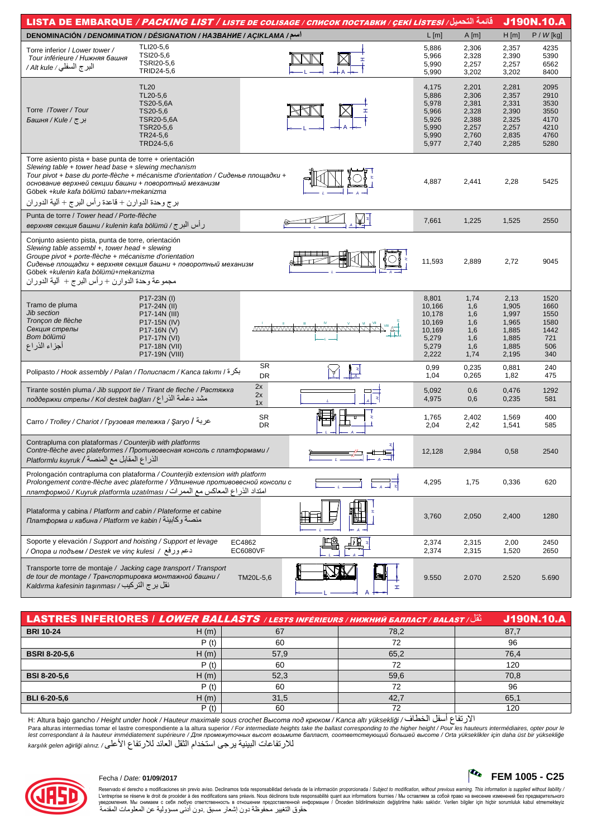| قائمة التحميل/ LISTA DE EMBARQUE / PACKING LIST / LISTE DE COLISAGE / CПИСОК ПОСТАВКИ / ÇEKİ LISTESİ<br>J190N.10.A                                                                                                                                                                                                       |                                                                                                                               |                    |        |                                                                          |                                                                      |                                                                      |                                                              |  |
|--------------------------------------------------------------------------------------------------------------------------------------------------------------------------------------------------------------------------------------------------------------------------------------------------------------------------|-------------------------------------------------------------------------------------------------------------------------------|--------------------|--------|--------------------------------------------------------------------------|----------------------------------------------------------------------|----------------------------------------------------------------------|--------------------------------------------------------------|--|
| <b>DENOMINACIÓN / DENOMINATION / DÉSIGNATION / HA3BAHUE / AÇIKLAMA /</b>                                                                                                                                                                                                                                                 |                                                                                                                               |                    |        | $L$ [m]                                                                  | $A$ [m]                                                              | $H$ [m]                                                              | $P / W$ [kg]                                                 |  |
| Torre inferior / Lower tower /<br>Tour inférieure / Нижняя башня<br>البرج السفلي/ Alt kule/                                                                                                                                                                                                                              | TLI20-5,6<br>TSI20-5,6<br>TSRI20-5,6<br>TRID24-5,6                                                                            |                    |        | 5,886<br>5,966<br>5,990<br>5,990                                         | 2,306<br>2,328<br>2,257<br>3,202                                     | 2,357<br>2,390<br>2,257<br>3,202                                     | 4235<br>5390<br>6562<br>8400                                 |  |
| Torre /Tower/Tour<br>برج / Башня / Kule                                                                                                                                                                                                                                                                                  | <b>TL20</b><br>TL20-5,6<br>TS20-5,6A<br>TS20-5,6<br>TSR20-5,6A<br>TSR20-5,6<br>TR24-5,6<br>TRD24-5,6                          |                    |        | 4,175<br>5,886<br>5,978<br>5,966<br>5,926<br>5,990<br>5,990<br>5,977     | 2,201<br>2,306<br>2,381<br>2,328<br>2,388<br>2,257<br>2,760<br>2,740 | 2,281<br>2,357<br>2,331<br>2,390<br>2,325<br>2,257<br>2,835<br>2,285 | 2095<br>2910<br>3530<br>3550<br>4170<br>4210<br>4760<br>5280 |  |
| Torre asiento pista + base punta de torre + orientación<br>Slewing table + tower head base + slewing mechanism<br>основание верхней секции башни + поворотный механизм<br>Göbek +kule kafa bölümü tabanı+mekanizma<br>برج وحدة الدوارن + قاعدة رأس البرج + ألية الدوران                                                  | Tour pivot + base du porte-flèche + mécanisme d'orientation / Сиденье площадки +                                              |                    |        | 4,887                                                                    | 2,441                                                                | 2,28                                                                 | 5425                                                         |  |
| Punta de torre / Tower head / Porte-flèche<br>ر أس البرج/ верхняя секция башни / kulenin kafa bölümü                                                                                                                                                                                                                     |                                                                                                                               |                    | ₩₹     | 7,661                                                                    | 1,225                                                                | 1,525                                                                | 2550                                                         |  |
| Conjunto asiento pista, punta de torre, orientación<br>Slewing table assembl +, tower head + slewing<br>Groupe pivot + porte-flèche + mécanisme d'orientation<br>Сиденье площадки + верхняя секция башни + поворотный механизм<br>Göbek +kulenin kafa bölümü+mekanizma<br>مجموعة وحدة الدوارن + رأس البرج + ألية الدوران |                                                                                                                               |                    |        | 11,593                                                                   | 2,889                                                                | 2,72                                                                 | 9045                                                         |  |
| Tramo de pluma<br>Jib section<br>Tronçon de flèche<br>Секция стрелы<br>Bom bölümü<br>أجزاء الذراع                                                                                                                                                                                                                        | P17-23N(I)<br>P17-24N (II)<br>P17-14N (III)<br>P17-15N (IV)<br>P17-16N (V)<br>P17-17N (VI)<br>P17-18N (VII)<br>P17-19N (VIII) |                    |        | 8,801<br>10,166<br>10,178<br>10,169<br>10,169<br>5,279<br>5,279<br>2,222 | 1,74<br>1,6<br>1,6<br>1,6<br>1,6<br>1,6<br>1,6<br>1,74               | 2,13<br>1,905<br>1,997<br>1,965<br>1,885<br>1,885<br>1,885<br>2,195  | 1520<br>1660<br>1550<br>1580<br>1442<br>721<br>506<br>340    |  |
| Polipasto / Hook assembly / Palan / Полиспаст / Kanca takımı / بكرة                                                                                                                                                                                                                                                      |                                                                                                                               | <b>SR</b><br>DR    | 昼<br>Y | 0,99<br>1,04                                                             | 0,235<br>0,265                                                       | 0,881<br>1,82                                                        | 240<br>475                                                   |  |
| Tirante sostén pluma / Jib support tie / Tirant de fleche / Растяжка<br>مشد دعامة الذراع/ лоддержки стрелы / КоІ destek bağları                                                                                                                                                                                          |                                                                                                                               | 2x<br>2x<br>1x     |        | 5,092<br>4,975                                                           | 0,6<br>0,6                                                           | 0,476<br>0,235                                                       | 1292<br>581                                                  |  |
| Сагго / Trolley / Chariot / Грузовая тележка / Şaryo / عربة                                                                                                                                                                                                                                                              |                                                                                                                               | SR<br>DR           |        | 1,765<br>2,04                                                            | 2,402<br>2,42                                                        | 1,569<br>1,541                                                       | 400<br>585                                                   |  |
| Contrapluma con plataformas / Counterjib with platforms<br>الذراع المقابل مع المنصة/ Platformlu kuyruk                                                                                                                                                                                                                   | Contre-flèche avec plateformes / Противовесная консоль с платформами /                                                        |                    |        | 12,128                                                                   | 2,984                                                                | 0,58                                                                 | 2540                                                         |  |
| Prolongación contrapluma con plataforma / Counterjib extension with platform<br>Prolongement contre-flèche avec plateforme / Удлинение противовесной консоли с<br>امتداد الذر اع المعاكس مع الممر ات/ платформой / Kuyruk platformla uzatılması                                                                          |                                                                                                                               |                    |        | 4,295                                                                    | 1,75                                                                 | 0,336                                                                | 620                                                          |  |
| Plataforma y cabina / Platform and cabin / Plateforme et cabine<br>платформа и кабина / Platform ve kabin / منصبة وكابينة                                                                                                                                                                                                |                                                                                                                               |                    |        | 3,760                                                                    | 2,050                                                                | 2,400                                                                | 1280                                                         |  |
| Soporte y elevación / Support and hoisting / Support et levage<br>دعم ورفع / Опора и подъем / Destek ve vinç kulesi /                                                                                                                                                                                                    |                                                                                                                               | EC4862<br>EC6080VF | 仲包     | 2,374<br>2,374                                                           | 2,315<br>2,315                                                       | 2,00<br>1,520                                                        | 2450<br>2650                                                 |  |
| Transporte torre de montaje / Jacking cage transport / Transport<br>de tour de montage / Транспортировка монтажной башни /<br>نقل برج التركيب/ Kaldırma kafesinin taşınması                                                                                                                                              |                                                                                                                               | TM20L-5,6          | H      | 9.550                                                                    | 2.070                                                                | 2.520                                                                | 5.690                                                        |  |

| نُقْلُ/ LASTRES INFERIORES   LOWER BALLASTS / LESTS INFÉRIEURS / HИЖНИЙ БАЛЛАСТ / BALAST<br><b>J190N.10.A</b> |      |      |      |      |  |  |  |  |
|---------------------------------------------------------------------------------------------------------------|------|------|------|------|--|--|--|--|
| <b>BRI 10-24</b>                                                                                              | H(m) | 67   | 78,2 | 87,7 |  |  |  |  |
|                                                                                                               | P(t) | 60   | 72   | 96   |  |  |  |  |
| <b>BSRI 8-20-5.6</b>                                                                                          | H(m) | 57,9 | 65,2 | 76,4 |  |  |  |  |
|                                                                                                               | P(t) | 60   | 72   | 120  |  |  |  |  |
| <b>BSI 8-20-5.6</b>                                                                                           | H(m) | 52,3 | 59,6 | 70,8 |  |  |  |  |
|                                                                                                               | P(t) | 60   | 72   | 96   |  |  |  |  |
| <b>BLI 6-20-5.6</b>                                                                                           | H(m) | 31,5 | 42.7 | 65,1 |  |  |  |  |
|                                                                                                               | P(t) | 60   | 70   | 120  |  |  |  |  |

الارتفاع أسفل الخطاف/ H: Altura bajo gancho / Height under hook / Hauteur maximale sous crochet Высота под крюком / Kanca altı yüksekliği

Para alturas intermedias tomar el lastre correspondiente a la altura superior / For intermediate heights take the ballast corresponding to the higher height / Pour les hauteurs intermédiaires, opter pour le<br>lest correspon للارتفاعات البينية يرجى استخدام الثقل العائد للارتفاع الأعلى/ karşılık gelen ağirliği alınız



Reservado el derecho a modificaciones sin previo aviso. Declinamos toda responsabilidad derivada de la información proporcionada / Subjec*t to modification, without previous warning. This information is supplied without*